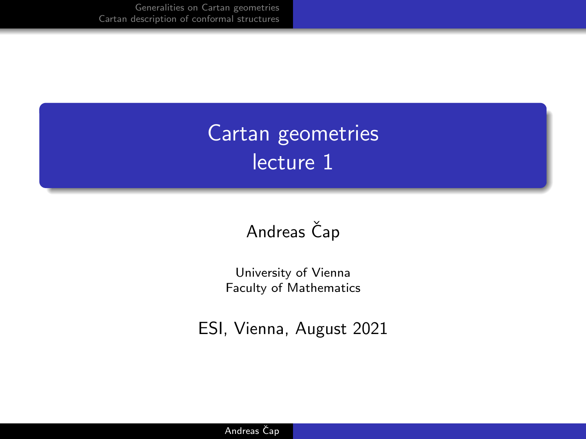# Cartan geometries lecture 1

#### Andreas Čap

University of Vienna Faculty of Mathematics

ESI, Vienna, August 2021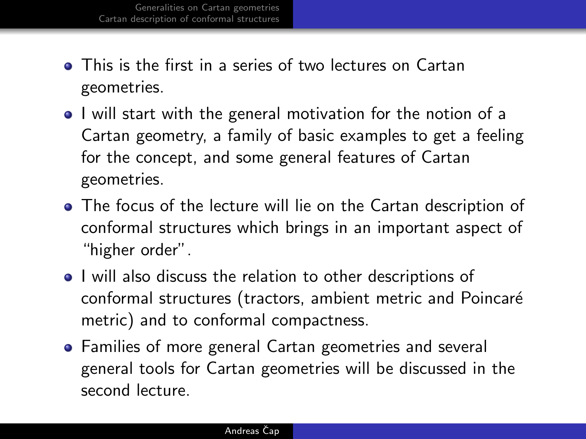- **•** This is the first in a series of two lectures on Cartan geometries.
- I will start with the general motivation for the notion of a Cartan geometry, a family of basic examples to get a feeling for the concept, and some general features of Cartan geometries.
- The focus of the lecture will lie on the Cartan description of conformal structures which brings in an important aspect of "higher order".
- I will also discuss the relation to other descriptions of conformal structures (tractors, ambient metric and Poincaré metric) and to conformal compactness.
- Families of more general Cartan geometries and several general tools for Cartan geometries will be discussed in the second lecture.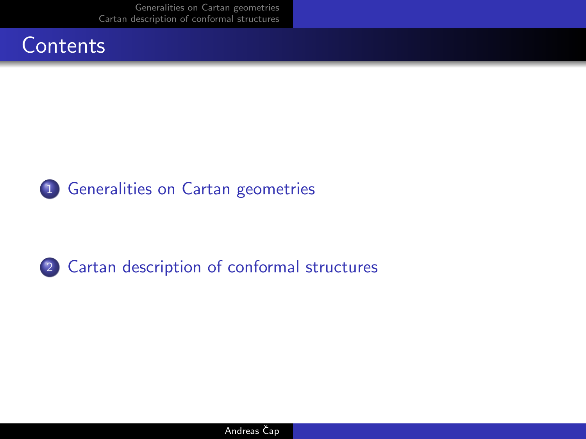[Generalities on Cartan geometries](#page-3-0) [Cartan description of conformal structures](#page-8-0)





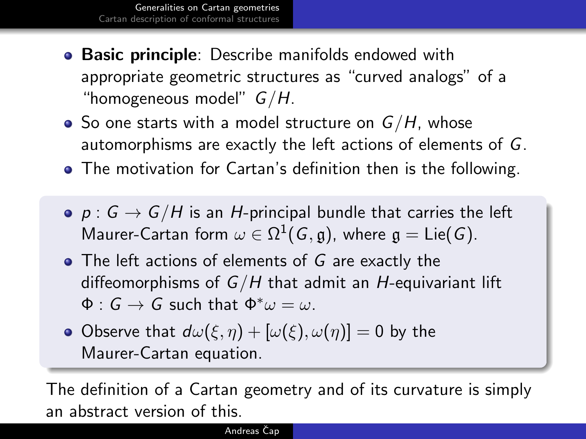- <span id="page-3-0"></span>**• Basic principle**: Describe manifolds endowed with appropriate geometric structures as "curved analogs" of a "homogeneous model"  $G/H$ .
- So one starts with a model structure on  $G/H$ , whose automorphisms are exactly the left actions of elements of G.
- The motivation for Cartan's definition then is the following.
- $p : G \rightarrow G/H$  is an H-principal bundle that carries the left Maurer-Cartan form  $\omega \in \Omega^1(G, \mathfrak{g})$ , where  $\mathfrak{g} = \mathsf{Lie}(G).$
- The left actions of elements of G are exactly the diffeomorphisms of  $G/H$  that admit an H-equivariant lift  $\Phi : G \to G$  such that  $\Phi^* \omega = \omega$ .
- Observe that  $d\omega(\xi, \eta) + [\omega(\xi), \omega(\eta)] = 0$  by the Maurer-Cartan equation.

The definition of a Cartan geometry and of its curvature is simply an abstract version of this.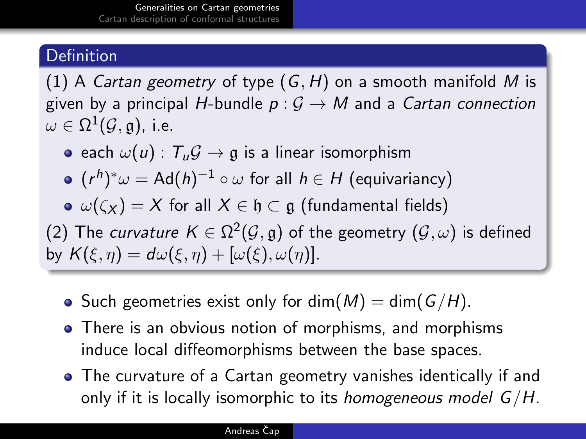#### **Definition**

(1) A Cartan geometry of type  $(G, H)$  on a smooth manifold M is given by a principal H-bundle  $p: G \to M$  and a Cartan connection  $\omega \in \Omega^1(\mathcal{G},\mathfrak{g}),$  i.e.

e each  $\omega(u)$ :  $T_u G \rightarrow \mathfrak{g}$  is a linear isomorphism

• 
$$
(r^h)^*\omega = Ad(h)^{-1} \circ \omega
$$
 for all  $h \in H$  (equivariantly)

 $\omega(\zeta_X) = X$  for all  $X \in \mathfrak{h} \subset \mathfrak{g}$  (fundamental fields)

(2) The *curvature K*  $\in$  Ω<sup>2</sup>( $\mathcal{G}, \mathfrak{g}$ ) of the geometry ( $\mathcal{G}, \omega$ ) is defined by  $K(\xi, \eta) = d\omega(\xi, \eta) + [\omega(\xi), \omega(\eta)].$ 

- Such geometries exist only for dim( $M$ ) = dim( $G/H$ ).
- There is an obvious notion of morphisms, and morphisms induce local diffeomorphisms between the base spaces.
- The curvature of a Cartan geometry vanishes identically if and only if it is locally isomorphic to its *homogeneous model*  $G/H$ .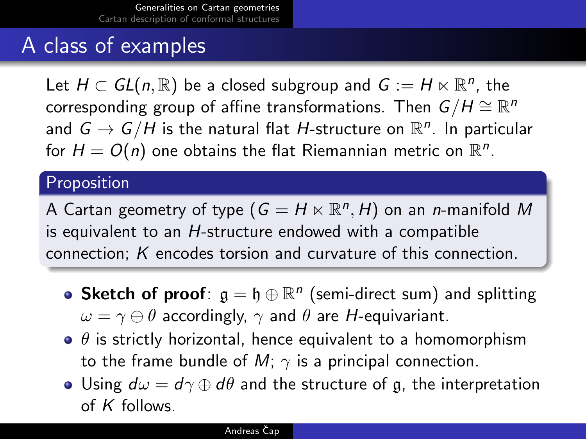## A class of examples

Let  $H \subset GL(n,\mathbb{R})$  be a closed subgroup and  $G := H \ltimes \mathbb{R}^n$ , the corresponding group of affine transformations. Then  $\,G/H\cong \mathbb{R}^n$ and  $G \rightarrow G/H$  is the natural flat  $H$ -structure on  $\mathbb{R}^n$ . In particular for  $H = O(n)$  one obtains the flat Riemannian metric on  $\mathbb{R}^n$ .

#### Proposition

A Cartan geometry of type  $(G = H \ltimes \mathbb{R}^n, H)$  on an n-manifold  $M$ is equivalent to an H-structure endowed with a compatible connection; K encodes torsion and curvature of this connection.

- Sketch of proof:  $\mathfrak{g} = \mathfrak{h} \oplus \mathbb{R}^n$  (semi-direct sum) and splitting  $\omega = \gamma \oplus \theta$  accordingly,  $\gamma$  and  $\theta$  are *H*-equivariant.
- $\bullet$   $\theta$  is strictly horizontal, hence equivalent to a homomorphism to the frame bundle of  $M$ ;  $\gamma$  is a principal connection.
- Using  $d\omega = d\gamma \oplus d\theta$  and the structure of g, the interpretation of  $K$  follows.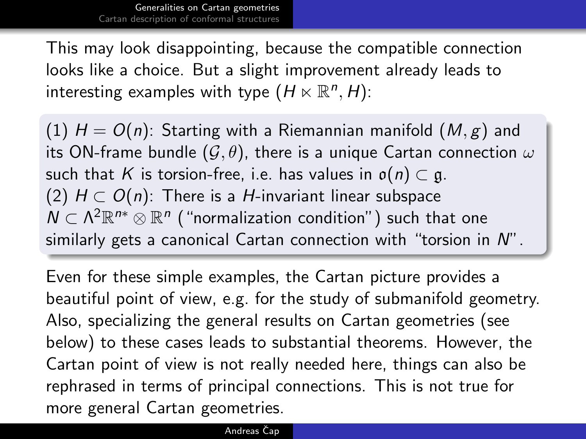This may look disappointing, because the compatible connection looks like a choice. But a slight improvement already leads to interesting examples with type  $(H \ltimes \mathbb{R}^n, H)$ :

(1)  $H = O(n)$ : Starting with a Riemannian manifold  $(M, \varepsilon)$  and its ON-frame bundle  $(\mathcal{G}, \theta)$ , there is a unique Cartan connection  $\omega$ such that K is torsion-free, i.e. has values in  $o(n) \subset g$ . (2)  $H \subset O(n)$ : There is a H-invariant linear subspace  $N\subset\Lambda^2\mathbb{R}^{n*}\otimes\mathbb{R}^{n}$  ("normalization condition") such that one similarly gets a canonical Cartan connection with "torsion in N".

Even for these simple examples, the Cartan picture provides a beautiful point of view, e.g. for the study of submanifold geometry. Also, specializing the general results on Cartan geometries (see below) to these cases leads to substantial theorems. However, the Cartan point of view is not really needed here, things can also be rephrased in terms of principal connections. This is not true for more general Cartan geometries.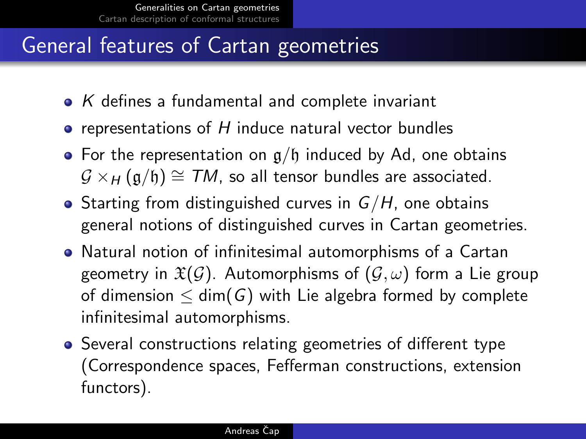## General features of Cartan geometries

- $\bullet$  K defines a fundamental and complete invariant
- $\bullet$  representations of H induce natural vector bundles
- For the representation on  $g/f$  induced by Ad, one obtains  $G \times_H (g/h) \cong TM$ , so all tensor bundles are associated.
- Starting from distinguished curves in  $G/H$ , one obtains general notions of distinguished curves in Cartan geometries.
- Natural notion of infinitesimal automorphisms of a Cartan geometry in  $\mathfrak{X}(\mathcal{G})$ . Automorphisms of  $(\mathcal{G}, \omega)$  form a Lie group of dimension  $\leq$  dim(G) with Lie algebra formed by complete infinitesimal automorphisms.
- Several constructions relating geometries of different type (Correspondence spaces, Fefferman constructions, extension functors).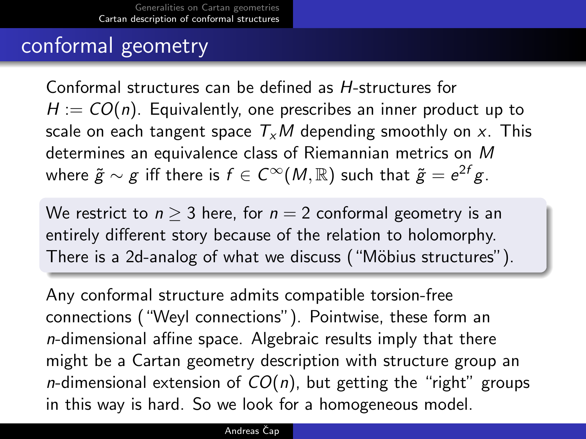## <span id="page-8-0"></span>conformal geometry

Conformal structures can be defined as H-structures for  $H = CO(n)$ . Equivalently, one prescribes an inner product up to scale on each tangent space  $T_xM$  depending smoothly on x. This determines an equivalence class of Riemannian metrics on M where  $\widetilde{g} \sim g$  iff there is  $f \in C^\infty(M,{\mathbb R})$  such that  $\widetilde{g} = e^{2f}g$ .

We restrict to  $n > 3$  here, for  $n = 2$  conformal geometry is an entirely different story because of the relation to holomorphy. There is a 2d-analog of what we discuss ("Möbius structures").

Any conformal structure admits compatible torsion-free connections ("Weyl connections"). Pointwise, these form an n-dimensional affine space. Algebraic results imply that there might be a Cartan geometry description with structure group an *n*-dimensional extension of  $CO(n)$ , but getting the "right" groups in this way is hard. So we look for a homogeneous model.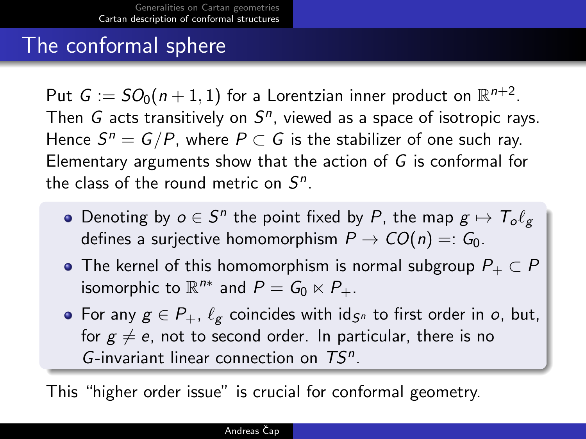## The conformal sphere

Put  $G:=SO_0(n+1,1)$  for a Lorentzian inner product on  $\mathbb{R}^{n+2}.$ Then  $G$  acts transitively on  $S<sup>n</sup>$ , viewed as a space of isotropic rays. Hence  $S^n = G/P$ , where  $P \subset G$  is the stabilizer of one such ray. Elementary arguments show that the action of G is conformal for the class of the round metric on  $S<sup>n</sup>$ .

- Denoting by  $o \in S^n$  the point fixed by P, the map  $g \mapsto \mathcal{T}_o \ell_g$ defines a suriective homomorphism  $P \to CO(n) =: G_0$ .
- The kernel of this homomorphism is normal subgroup  $P_+ \subset P$ isomorphic to  $\mathbb{R}^{n*}$  and  $P = G_0 \ltimes P_+$ .
- For any  $g \in P_+$ ,  $\ell_g$  coincides with id<sub>Sn</sub> to first order in o, but, for  $g \neq e$ , not to second order. In particular, there is no G-invariant linear connection on  $TS^n$ .

This "higher order issue" is crucial for conformal geometry.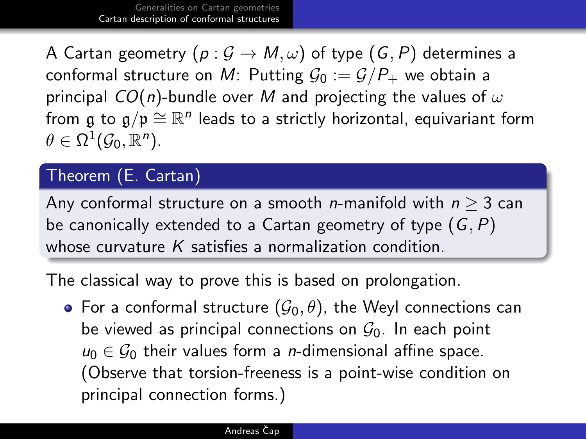A Cartan geometry  $(p: \mathcal{G} \to M, \omega)$  of type  $(G, P)$  determines a conformal structure on M: Putting  $\mathcal{G}_0 := \mathcal{G}/P_+$  we obtain a principal  $CO(n)$ -bundle over M and projecting the values of  $\omega$ from  $\mathfrak g$  to  $\mathfrak g/\mathfrak p\cong \mathbb R^n$  leads to a strictly horizontal, equivariant form  $\theta \in \Omega^1(\mathcal{G}_0, \mathbb{R}^n).$ 

#### Theorem (E. Cartan)

Any conformal structure on a smooth *n*-manifold with  $n > 3$  can be canonically extended to a Cartan geometry of type  $(G, P)$ whose curvature  $K$  satisfies a normalization condition.

The classical way to prove this is based on prolongation.

• For a conformal structure  $(\mathcal{G}_0, \theta)$ , the Weyl connections can be viewed as principal connections on  $\mathcal{G}_0$ . In each point  $u_0 \in \mathcal{G}_0$  their values form a *n*-dimensional affine space. (Observe that torsion-freeness is a point-wise condition on principal connection forms.)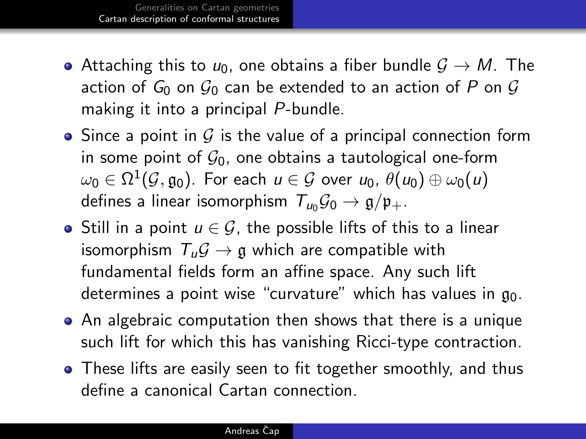- Attaching this to  $u_0$ , one obtains a fiber bundle  $\mathcal{G} \to M$ . The action of  $G_0$  on  $G_0$  can be extended to an action of P on G making it into a principal P-bundle.
- Since a point in  $G$  is the value of a principal connection form in some point of  $\mathcal{G}_0$ , one obtains a tautological one-form  $\omega_0\in\Omega^1(\mathcal{G},\mathfrak{g}_0).$  For each  $u\in\mathcal{G}$  over  $\mu_0,$   $\theta(u_0)\oplus\omega_0(u)$ defines a linear isomorphism  $T_{u_0} \mathcal{G}_0 \rightarrow \mathfrak{g}/\mathfrak{p}_+.$
- $\bullet$  Still in a point  $u \in \mathcal{G}$ , the possible lifts of this to a linear isomorphism  $T_u \mathcal{G} \rightarrow \mathfrak{g}$  which are compatible with fundamental fields form an affine space. Any such lift determines a point wise "curvature" which has values in  $\mathfrak{g}_0$ .
- An algebraic computation then shows that there is a unique such lift for which this has vanishing Ricci-type contraction.
- These lifts are easily seen to fit together smoothly, and thus define a canonical Cartan connection.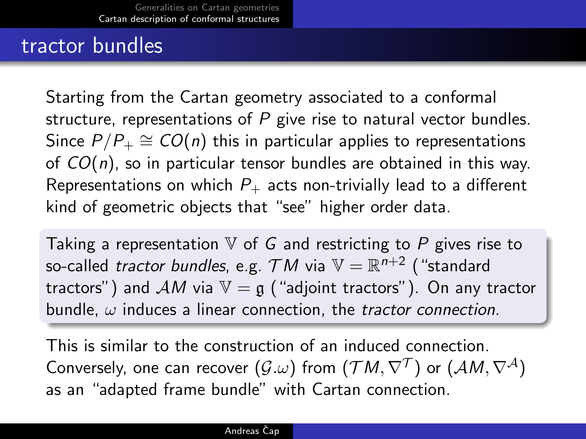### tractor bundles

Starting from the Cartan geometry associated to a conformal structure, representations of  $P$  give rise to natural vector bundles. Since  $P/P_+ \cong CO(n)$  this in particular applies to representations of  $CO(n)$ , so in particular tensor bundles are obtained in this way. Representations on which  $P_+$  acts non-trivially lead to a different kind of geometric objects that "see" higher order data.

Taking a representation  $V$  of G and restricting to P gives rise to so-called *tractor bundles*, e.g.  $\mathcal{T}M$  via  $\mathbb{V}=\mathbb{R}^{n+2}$  ("standard tractors") and AM via  $V = \mathfrak{g}$  ("adjoint tractors"). On any tractor bundle,  $\omega$  induces a linear connection, the *tractor connection*.

This is similar to the construction of an induced connection. Conversely, one can recover  $(\mathcal{G}.\omega)$  from  $(\mathcal{T} M,\nabla^{\mathcal{T}})$  or  $(\mathcal{A} M,\nabla^{\mathcal{A}})$ as an "adapted frame bundle" with Cartan connection.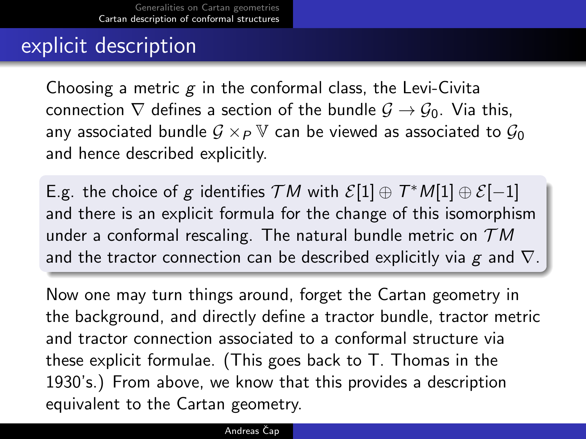## explicit description

Choosing a metric  $g$  in the conformal class, the Levi-Civita connection  $\nabla$  defines a section of the bundle  $\mathcal{G} \to \mathcal{G}_0$ . Via this, any associated bundle  $G \times_P \mathbb{V}$  can be viewed as associated to  $\mathcal{G}_0$ and hence described explicitly.

E.g. the choice of g identifies  $TM$  with  $\mathcal{E}[1]\oplus T^*M[1]\oplus \mathcal{E}[-1]$ and there is an explicit formula for the change of this isomorphism under a conformal rescaling. The natural bundle metric on  $TM$ and the tractor connection can be described explicitly via  $g$  and  $\nabla$ .

Now one may turn things around, forget the Cartan geometry in the background, and directly define a tractor bundle, tractor metric and tractor connection associated to a conformal structure via these explicit formulae. (This goes back to T. Thomas in the 1930's.) From above, we know that this provides a description equivalent to the Cartan geometry.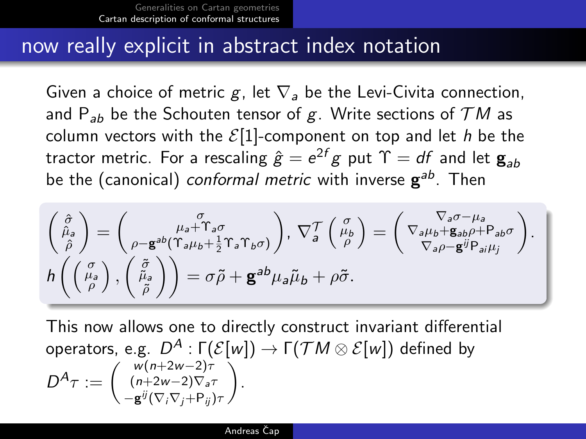#### now really explicit in abstract index notation

Given a choice of metric g, let  $\nabla_a$  be the Levi-Civita connection, and P<sub>ab</sub> be the Schouten tensor of g. Write sections of  $TM$  as column vectors with the  $\mathcal{E}[1]$ -component on top and let h be the tractor metric. For a rescaling  $\hat{g}=e^{2f}g$  put  $\Upsilon=df$  and let  $\mathbf{g}_{ab}$ be the (canonical) *conformal metric w*ith inverse  $\mathbf{g}^{ab}$ . Then

$$
\begin{pmatrix}\n\hat{\sigma} \\
\hat{\mu}_{a} \\
\hat{\rho}\n\end{pmatrix} = \begin{pmatrix}\n\sigma \\
\mu_{a} + \Upsilon_{a}\sigma \\
\rho - \mathbf{g}^{ab}(\Upsilon_{a}\mu_{b} + \frac{1}{2}\Upsilon_{a}\Upsilon_{b}\sigma)\n\end{pmatrix}, \nabla_{a}^{\mathcal{T}}\begin{pmatrix}\n\sigma \\
\mu_{b} \\
\rho\n\end{pmatrix} = \begin{pmatrix}\n\nabla_{a}\sigma - \mu_{a} \\
\nabla_{a}\mu_{b} + \mathbf{g}_{ab}\rho + \mathbf{g}_{ab}\sigma \\
\nabla_{a}\rho - \mathbf{g}^{ij}\mathbf{P}_{ai}\mu_{j}\n\end{pmatrix}.
$$
\n
$$
h\left(\begin{pmatrix}\n\sigma \\
\mu_{a} \\
\rho\n\end{pmatrix}, \begin{pmatrix}\n\tilde{\sigma} \\
\tilde{\mu}_{a} \\
\tilde{\rho}\n\end{pmatrix}\right) = \sigma \tilde{\rho} + \mathbf{g}^{ab}\mu_{a}\tilde{\mu}_{b} + \rho \tilde{\sigma}.
$$

This now allows one to directly construct invariant differential operators, e.g.  $D^A:\mathsf{\Gamma}({\mathcal E}[w])\rightarrow \mathsf{\Gamma}({\mathcal T} M\otimes {\mathcal E}[w])$  defined by  $D^A \tau := \left( \begin{array}{c} w(n+2w-2)\tau \ (n+2w-2)\nabla_a \tau \end{array} \right)$  $-\mathbf{g}^{ij}(\nabla_i\nabla_j+\mathsf{P}_{ij})\tau$ .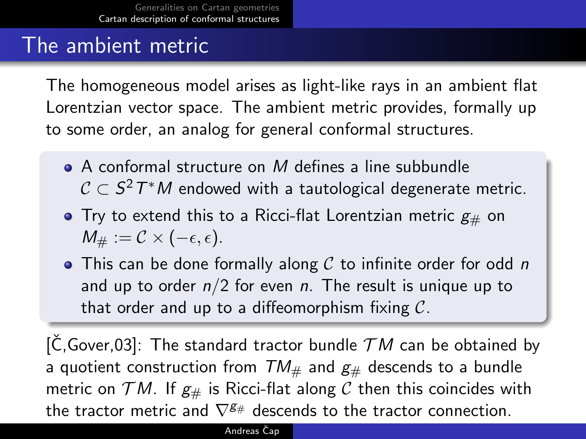## The ambient metric

The homogeneous model arises as light-like rays in an ambient flat Lorentzian vector space. The ambient metric provides, formally up to some order, an analog for general conformal structures.

- $\bullet$  A conformal structure on M defines a line subbundle  $\mathcal{C}\subset \mathcal{S}^2\varUpsilon^\ast M$  endowed with a tautological degenerate metric.
- $\bullet$  Try to extend this to a Ricci-flat Lorentzian metric  $g_{\#}$  on  $M_{\#} := \mathcal{C} \times (-\epsilon, \epsilon).$
- $\bullet$  This can be done formally along C to infinite order for odd n and up to order  $n/2$  for even n. The result is unique up to that order and up to a diffeomorphism fixing  $\mathcal{C}$ .

 $[\check{C},Gover.03]$ : The standard tractor bundle  $TM$  can be obtained by a quotient construction from  $TM_{\#}$  and  $g_{\#}$  descends to a bundle metric on  $TM$ . If  $g_{\#}$  is Ricci-flat along C then this coincides with the tractor metric and  $\nabla^{\mathcal{g}_{\#}}$  descends to the tractor connection.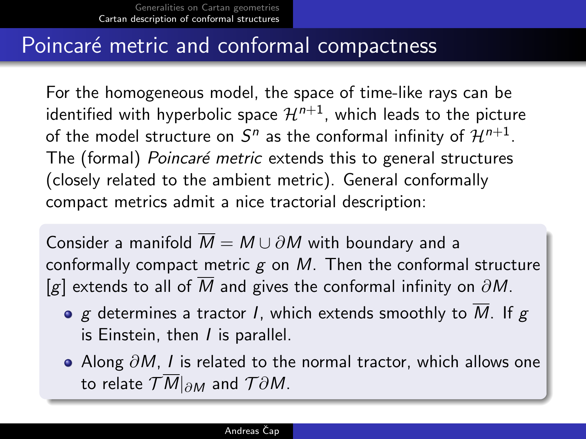### Poincaré metric and conformal compactness

For the homogeneous model, the space of time-like rays can be identified with hyperbolic space  $\mathcal{H}^{n+1}$ , which leads to the picture of the model structure on  $S^n$  as the conformal infinity of  $\mathcal{H}^{n+1}.$ The (formal) Poincaré metric extends this to general structures (closely related to the ambient metric). General conformally compact metrics admit a nice tractorial description:

Consider a manifold  $\overline{M} = M \cup \partial M$  with boundary and a conformally compact metric  $g$  on  $M$ . Then the conformal structure [g] extends to all of  $\overline{M}$  and gives the conformal infinity on  $\partial M$ .

- $\bullet$  g determines a tractor I, which extends smoothly to M. If g is Einstein, then  $I$  is parallel.
- Along  $\partial M$ , I is related to the normal tractor, which allows one to relate  $TM|_{\partial M}$  and  $T\partial M$ .